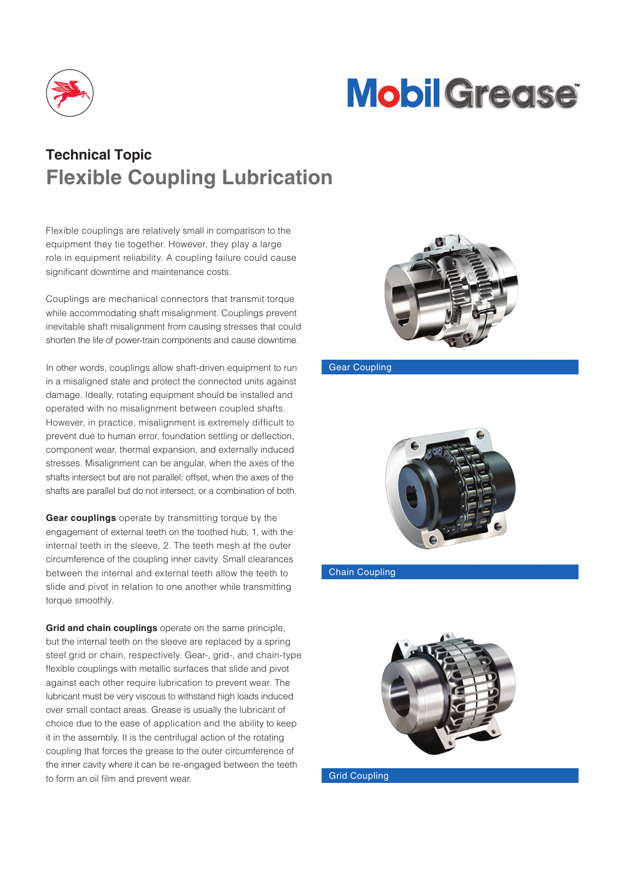

# **Mobil Grease**

## **Technical Topic Flexible Coupling Lubrication**

Flexible couplings are relatively small in comparison to the equipment they tie together. However, they play a large role in equipment reliability. A coupling failure could cause significant downtime and maintenance costs.

Couplings are mechanical connectors that transmit torque while accommodating shaft misalignment. Couplings prevent inevitable shaft misalignment from causing stresses that could shorten the life of power-train components and cause downtime.

In other words, couplings allow shaft-driven equipment to run in a misaligned state and protect the connected units against damage. Ideally, rotating equipment should be installed and operated with no misalignment between coupled shafts. However, in practice, misalignment is extremely difficult to prevent due to human error, foundation settling or deflection, component wear, thermal expansion, and externally induced stresses. Misalignment can be angular, when the axes of the shafts intersect but are not parallel; offset, when the axes of the shafts are parallel but do not intersect; or a combination of both.

**Gear couplings** operate by transmitting torque by the engagement of external teeth on the toothed hub, 1, with the internal teeth in the sleeve, 2. The teeth mesh at the outer circumference of the coupling inner cavity. Small clearances between the internal and external teeth allow the teeth to slide and pivot in relation to one another while transmitting torque smoothly.

**Grid and chain couplings** operate on the same principle, but the internal teeth on the sleeve are replaced by a spring steel grid or chain, respectively. Gear-, grid-, and chain-type flexible couplings with metallic surfaces that slide and pivot against each other require lubrication to prevent wear. The lubricant must be very viscous to withstand high loads induced over small contact areas. Grease is usually the lubricant of choice due to the ease of application and the ability to keep it in the assembly. It is the centrifugal action of the rotating coupling that forces the grease to the outer circumference of the inner cavity where it can be re-engaged between the teeth to form an oil film and prevent wear. The coupling control of the Grid Coupling



#### Gear Coupling



#### Chain Coupling